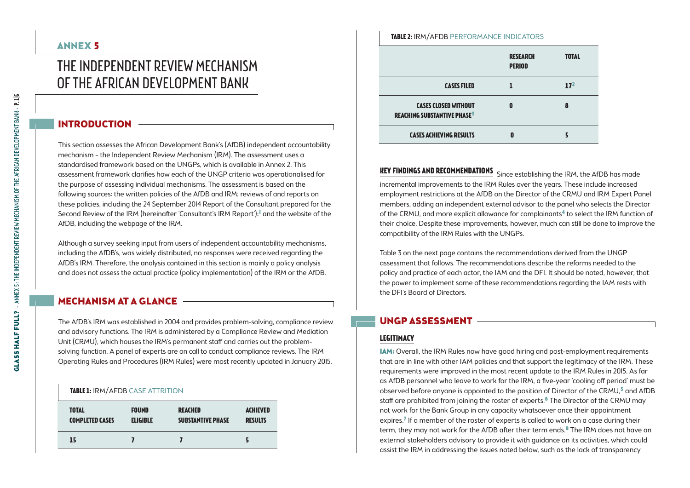# The Independent Review Mechanism of the African Development Bank

# INTRODUCTION

This section assesses the African Development Bank's (AfDB) independent accountability mechanism – the Independent Review Mechanism (IRM). The assessment uses a standardised framework based on the UNGPs, which is available in Annex 2. This assessment framework clarifies how each of the UNGP criteria was operationalised for the purpose of assessing individual mechanisms. The assessment is based on the following sources: the written policies of the AfDB and IRM; reviews of and reports on these policies, including the 24 September 2014 Report of the Consultant prepared for the Second Review of the IRM (hereinafter 'Consultant's IRM Report');<sup>1</sup> and the website of the AfDB, including the webpage of the IRM.

Although a survey seeking input from users of independent accountability mechanisms, including the AfDB's, was widely distributed, no responses were received regarding the AfDB's IRM. Therefore, the analysis contained in this section is mainly a policy analysis and does not assess the actual practice (policy implementation) of the IRM or the AfDB.

# Mechanism at a glance

The AfDB's IRM was established in 2004 and provides problem-solving, compliance review and advisory functions. The IRM is administered by a Compliance Review and Mediation Unit (CRMU), which houses the IRM's permanent staff and carries out the problemsolving function. A panel of experts are on call to conduct compliance reviews. The IRM Operating Rules and Procedures (IRM Rules) were most recently updated in January 2015.

# **Table 1:** IRM/AfDB Case attrition

| <b>TOTAL</b>           | <b>FOUND</b>    | <b>REACHED</b>           | <b>ACHIEVED</b> |
|------------------------|-----------------|--------------------------|-----------------|
| <b>COMPLETED CASES</b> | <b>ELIGIBLE</b> | <b>SUBSTANTIVE PHASE</b> | <b>RESULTS</b>  |
| 15                     |                 |                          |                 |

#### **Table 2:** IRM/AfDB Performance indicators

|                                                                              | <b>RESEARCH</b><br><b>PERIOD</b> | <b>TOTAL</b>    |
|------------------------------------------------------------------------------|----------------------------------|-----------------|
| <b>CASES FILED</b>                                                           |                                  | 17 <sup>2</sup> |
| <b>CASES CLOSED WITHOUT</b><br><b>REACHING SUBSTANTIVE PHASE<sup>3</sup></b> | Ω                                | 8               |
| <b>CASES ACHIEVING RESULTS</b>                                               | Ω                                |                 |

**KEY FINDINGS AND RECOMMENDATIONS** Since establishing the IRM, the AfDB has made incremental improvements to the IRM Rules over the years. These include increased employment restrictions at the AfDB on the Director of the CRMU and IRM Expert Panel members, adding an independent external advisor to the panel who selects the Director of the CRMU, and more explicit allowance for complainants<sup>4</sup> to select the IRM function of their choice. Despite these improvements, however, much can still be done to improve the compatibility of the IRM Rules with the UNGPs.

Table 3 on the next page contains the recommendations derived from the UNGP assessment that follows. The recommendations describe the reforms needed to the policy and practice of each actor, the IAM and the DFI. It should be noted, however, that the power to implement some of these recommendations regarding the IAM rests with the DFI's Board of Directors.

# UNGP Assessment

# **Legitimacy**

IAM: Overall, the IRM Rules now have good hiring and post-employment requirements that are in line with other IAM policies and that support the legitimacy of the IRM. These requirements were improved in the most recent update to the IRM Rules in 2015. As far as AfDB personnel who leave to work for the IRM, a five-year 'cooling off period' must be observed before anyone is appointed to the position of Director of the CRMU, $5$  and AfDB staff are prohibited from joining the roster of experts.<sup>6</sup> The Director of the CRMU may not work for the Bank Group in any capacity whatsoever once their appointment expires.7 If a member of the roster of experts is called to work on a case during their term, they may not work for the AfDB after their term ends.<sup>8</sup> The IRM does not have an external stakeholders advisory to provide it with guidance on its activities, which could assist the IRM in addressing the issues noted below, such as the lack of transparency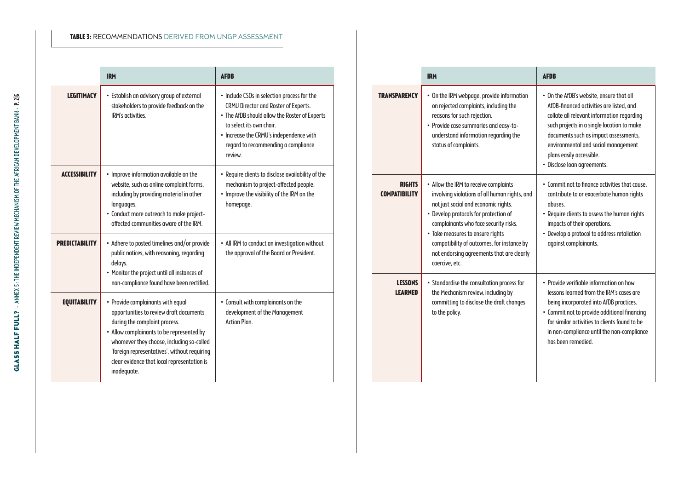## **Table 3:** Recommendations derived from UNGP assessment

|                       | <b>IRM</b>                                                                                                                                                                                                                                                                                                            | <b>AFDB</b>                                                                                                                                                                                                                                                   |
|-----------------------|-----------------------------------------------------------------------------------------------------------------------------------------------------------------------------------------------------------------------------------------------------------------------------------------------------------------------|---------------------------------------------------------------------------------------------------------------------------------------------------------------------------------------------------------------------------------------------------------------|
| <b>LEGITIMACY</b>     | • Establish an advisory group of external<br>stakeholders to provide feedback on the<br>IRM's activities.                                                                                                                                                                                                             | • Include CSOs in selection process for the<br>CRMU Director and Roster of Experts.<br>• The AfDB should allow the Roster of Experts<br>to select its own chair.<br>• Increase the CRMU's independence with<br>regard to recommending a compliance<br>review. |
| <b>ACCESSIBILITY</b>  | • Improve information available on the<br>website, such as online complaint forms,<br>including by providing material in other<br>languages.<br>• Conduct more outreach to make project-<br>affected communities aware of the IRM.                                                                                    | • Require clients to disclose availability of the<br>mechanism to project-affected people.<br>• Improve the visibility of the IRM on the<br>homepage.                                                                                                         |
| <b>PREDICTABILITY</b> | • Adhere to posted timelines and/or provide<br>public notices, with reasoning, regarding<br>delays.<br>• Monitor the project until all instances of<br>non-compliance found have been rectified.                                                                                                                      | • All IRM to conduct an investigation without<br>the approval of the Board or President.                                                                                                                                                                      |
| <b>EQUITABILITY</b>   | • Provide complainants with equal<br>opportunities to review draft documents<br>during the complaint process.<br>• Allow complainants to be represented by<br>whomever they choose, including so-called<br>'foreign representatives', without requiring<br>clear evidence that local representation is<br>inadequate. | • Consult with complainants on the<br>development of the Management<br><b>Action Plan</b>                                                                                                                                                                     |

|                                       | <b>IRM</b>                                                                                                                                                                                                                                                                                                                                                        | <b>AFDB</b>                                                                                                                                                                                                                                                                                                                 |
|---------------------------------------|-------------------------------------------------------------------------------------------------------------------------------------------------------------------------------------------------------------------------------------------------------------------------------------------------------------------------------------------------------------------|-----------------------------------------------------------------------------------------------------------------------------------------------------------------------------------------------------------------------------------------------------------------------------------------------------------------------------|
| TRANSPARENCY                          | • On the IRM webpage, provide information<br>on rejected complaints, including the<br>reasons for such rejection.<br>· Provide case summaries and easy-to-<br>understand information regarding the<br>status of complaints.                                                                                                                                       | • On the AfDB's website, ensure that all<br>AfDB-financed activities are listed, and<br>collate all relevant information regarding<br>such projects in a single location to make<br>documents such as impact assessments,<br>environmental and social management<br>plans easily accessible.<br>· Disclose loan agreements. |
| <b>RIGHTS</b><br><b>COMPATIBILITY</b> | • Allow the IRM to receive complaints<br>involving violations of all human rights, and<br>not just social and economic rights.<br>• Develop protocols for protection of<br>complainants who face security risks.<br>• Take measures to ensure rights<br>compatibility of outcomes, for instance by<br>not endorsing agreements that are clearly<br>coercive, etc. | • Commit not to finance activities that cause.<br>contribute to or exacerbate human rights<br>abuses.<br>• Require clients to assess the human rights<br>impacts of their operations.<br>• Develop a protocol to address retaliation<br>against complainants.                                                               |
| <b>LESSONS</b><br><b>LEARNED</b>      | • Standardise the consultation process for<br>the Mechanism review, including by<br>committing to disclose the draft changes<br>to the policy.                                                                                                                                                                                                                    | • Provide verifiable information on how<br>lessons learned from the IRM's cases are<br>being incorporated into AfDB practices.<br>· Commit not to provide additional financing<br>for similar activities to clients found to be<br>in non-compliance until the non-compliance<br>has been remedied.                         |

H

H

÷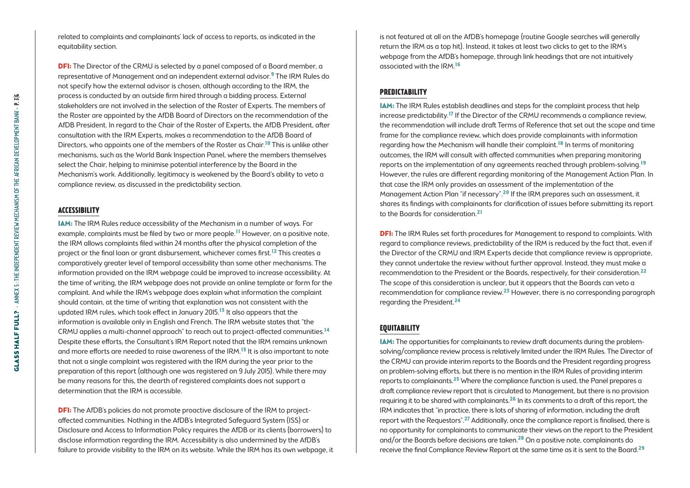related to complaints and complainants' lack of access to reports, as indicated in the equitability section.

**DFI:** The Director of the CRMU is selected by a panel composed of a Board member, a representative of Management and an independent external advisor.9 The IRM Rules do not specify how the external advisor is chosen, although according to the IRM, the process is conducted by an outside firm hired through a bidding process. External stakeholders are not involved in the selection of the Roster of Experts. The members of the Roster are appointed by the AfDB Board of Directors on the recommendation of the AfDB President. In regard to the Chair of the Roster of Experts, the AfDB President, after consultation with the IRM Experts, makes a recommendation to the AfDB Board of Directors, who appoints one of the members of the Roster as Chair.<sup>10</sup> This is unlike other mechanisms, such as the World Bank Inspection Panel, where the members themselves select the Chair, helping to minimise potential interference by the Board in the Mechanism's work. Additionally, legitimacy is weakened by the Board's ability to veto a compliance review, as discussed in the predictability section.

#### **Accessibility**

IAM: The IRM Rules reduce accessibility of the Mechanism in a number of ways. For example, complaints must be filed by two or more people.<sup>11</sup> However, on a positive note. the IRM allows complaints filed within 24 months after the physical completion of the project or the final loan or grant disbursement, whichever comes first.12 This creates a comparatively greater level of temporal accessibility than some other mechanisms. The information provided on the IRM webpage could be improved to increase accessibility. At the time of writing, the IRM webpage does not provide an online template or form for the complaint. And while the IRM's webpage does explain what information the complaint should contain, at the time of writing that explanation was not consistent with the updated IRM rules, which took effect in January 2015.<sup>13</sup> It also appears that the information is available only in English and French. The IRM website states that "the CRMU applies a multi-channel approach" to reach out to project-affected communities.14 Despite these efforts, the Consultant's IRM Report noted that the IRM remains unknown and more efforts are needed to raise awareness of the IRM.<sup>15</sup> It is also important to note that not a single complaint was registered with the IRM during the year prior to the preparation of this report (although one was registered on 9 July 2015). While there may be many reasons for this, the dearth of registered complaints does not support a determination that the IRM is accessible.

**DFI:** The AfDB's policies do not promote proactive disclosure of the IRM to projectaffected communities. Nothing in the AfDB's Integrated Safeguard System (ISS) or Disclosure and Access to Information Policy requires the AfDB or its clients (borrowers) to disclose information regarding the IRM. Accessibility is also undermined by the AfDB's failure to provide visibility to the IRM on its website. While the IRM has its own webpage, it is not featured at all on the AfDB's homepage (routine Google searches will generally return the IRM as a top hit). Instead, it takes at least two clicks to get to the IRM's webpage from the AfDB's homepage, through link headings that are not intuitively associated with the IRM.16

# **Predictability**

IAM: The IRM Rules establish deadlines and steps for the complaint process that help increase predictability.17 If the Director of the CRMU recommends a compliance review, the recommendation will include draft Terms of Reference that set out the scope and time frame for the compliance review, which does provide complainants with information regarding how the Mechanism will handle their complaint.18 In terms of monitoring outcomes, the IRM will consult with affected communities when preparing monitoring reports on the implementation of any agreements reached through problem-solving.19 However, the rules are different regarding monitoring of the Management Action Plan. In that case the IRM only provides an assessment of the implementation of the Management Action Plan "if necessary".<sup>20</sup> If the IRM prepares such an assessment, it shares its findings with complainants for clarification of issues before submitting its report to the Boards for consideration.21

**DFI:** The IRM Rules set forth procedures for Management to respond to complaints. With regard to compliance reviews, predictability of the IRM is reduced by the fact that, even if the Director of the CRMU and IRM Experts decide that compliance review is appropriate, they cannot undertake the review without further approval. Instead, they must make a recommendation to the President or the Boards, respectively, for their consideration.22 The scope of this consideration is unclear, but it appears that the Boards can veto a recommendation for compliance review. $23$  However, there is no corresponding paragraph regarding the President.24

### **Equitability**

IAM: The opportunities for complainants to review draft documents during the problemsolving/compliance review process is relatively limited under the IRM Rules. The Director of the CRMU can provide interim reports to the Boards and the President regarding progress on problem-solving efforts, but there is no mention in the IRM Rules of providing interim reports to complainants. $^{25}$  Where the compliance function is used, the Panel prepares a draft compliance review report that is circulated to Management, but there is no provision requiring it to be shared with complainants.<sup>26</sup> In its comments to a draft of this report, the IRM indicates that "in practice, there is lots of sharing of information, including the draft report with the Requestors".<sup>27</sup> Additionally, once the compliance report is finalised, there is no opportunity for complainants to communicate their views on the report to the President and/or the Boards before decisions are taken.28 On a positive note, complainants do receive the final Compliance Review Report at the same time as it is sent to the Board.<sup>29</sup>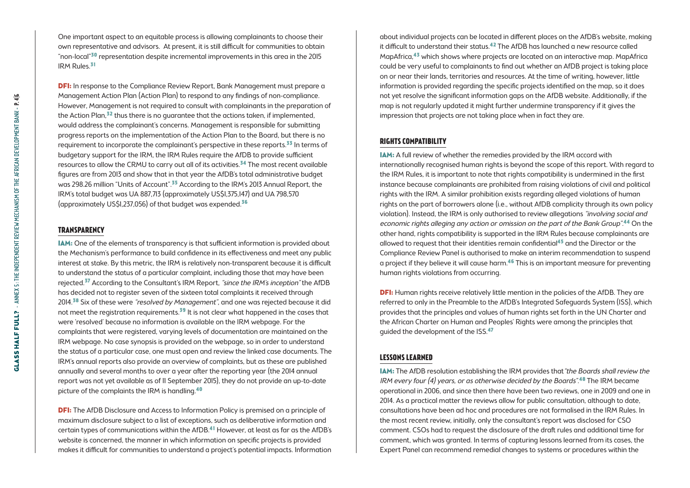One important aspect to an equitable process is allowing complainants to choose their own representative and advisors. At present, it is still difficult for communities to obtain "non-local"30 representation despite incremental improvements in this area in the 2015 IRM Rules.31

**DFI:** In response to the Compliance Review Report, Bank Management must prepare a Management Action Plan (Action Plan) to respond to any findings of non-compliance. However, Management is not required to consult with complainants in the preparation of the Action Plan, $32$  thus there is no quarantee that the actions taken, if implemented, would address the complainant's concerns. Management is responsible for submitting progress reports on the implementation of the Action Plan to the Board, but there is no requirement to incorporate the complainant's perspective in these reports. $33$  In terms of budgetary support for the IRM, the IRM Rules require the AfDB to provide sufficient resources to allow the CRMU to carry out all of its activities.<sup>34</sup> The most recent available figures are from 2013 and show that in that year the AfDB's total administrative budget was 298.26 million "Units of Account".<sup>35</sup> According to the IRM's 2013 Annual Report, the IRM's total budget was UA 887,713 (approximately US\$1,375,147) and UA 798,570 (approximately US\$1,237,056) of that budget was expended.36

#### **Transparency**

IAM: One of the elements of transparency is that sufficient information is provided about the Mechanism's performance to build confidence in its effectiveness and meet any public interest at stake. By this metric, the IRM is relatively non-transparent because it is difficult to understand the status of a particular complaint, including those that may have been rejected.<sup>37</sup> According to the Consultant's IRM Report, "since the IRM's inception" the AfDB has decided not to register seven of the sixteen total complaints it received through 2014.<sup>38</sup> Six of these were "resolved by Management", and one was rejected because it did not meet the registration requirements.<sup>39</sup> It is not clear what happened in the cases that were 'resolved' because no information is available on the IRM webpage. For the complaints that were registered, varying levels of documentation are maintained on the IRM webpage. No case synopsis is provided on the webpage, so in order to understand the status of a particular case, one must open and review the linked case documents. The IRM's annual reports also provide an overview of complaints, but as these are published annually and several months to over a year after the reporting year (the 2014 annual report was not yet available as of 11 September 2015), they do not provide an up-to-date picture of the complaints the IRM is handling.40

**DFI:** The AfDB Disclosure and Access to Information Policy is premised on a principle of maximum disclosure subject to a list of exceptions, such as deliberative information and certain types of communications within the AfDB.41 However, at least as far as the AfDB's website is concerned, the manner in which information on specific projects is provided makes it difficult for communities to understand a project's potential impacts. Information

about individual projects can be located in different places on the AfDB's website, making it difficult to understand their status.<sup>42</sup> The AfDB has launched a new resource called MapAfrica,43 which shows where projects are located on an interactive map. MapAfrica could be very useful to complainants to find out whether an AfDB project is taking place on or near their lands, territories and resources. At the time of writing, however, little information is provided regarding the specific projects identified on the map, so it does not yet resolve the significant information gaps on the AfDB website. Additionally, if the map is not regularly updated it might further undermine transparency if it gives the impression that projects are not taking place when in fact they are.

### **Rights Compatibility**

IAM: A full review of whether the remedies provided by the IRM accord with internationally recognised human rights is beyond the scope of this report. With regard to the IRM Rules, it is important to note that rights compatibility is undermined in the first instance because complainants are prohibited from raising violations of civil and political rights with the IRM. A similar prohibition exists regarding alleged violations of human rights on the part of borrowers alone (i.e., without AfDB complicity through its own policy violation). Instead, the IRM is only authorised to review allegations "involving social and economic rights alleging any action or omission on the part of the Bank Group".44 On the other hand, rights compatibility is supported in the IRM Rules because complainants are allowed to request that their identities remain confidential45 and the Director or the Compliance Review Panel is authorised to make an interim recommendation to suspend a project if they believe it will cause harm.46 This is an important measure for preventing human rights violations from occurring.

**DFI:** Human rights receive relatively little mention in the policies of the AfDB. They are referred to only in the Preamble to the AfDB's Integrated Safeguards System (ISS), which provides that the principles and values of human rights set forth in the UN Charter and the African Charter on Human and Peoples' Rights were among the principles that guided the development of the ISS.47

### **Lessons learned**

IAM: The AfDB resolution establishing the IRM provides that"the Boards shall review the IRM every four (4) years, or as otherwise decided by the Boards".<sup>48</sup> The IRM became operational in 2006, and since then there have been two reviews, one in 2009 and one in 2014. As a practical matter the reviews allow for public consultation, although to date, consultations have been ad hoc and procedures are not formalised in the IRM Rules. In the most recent review, initially, only the consultant's report was disclosed for CSO comment. CSOs had to request the disclosure of the draft rules and additional time for comment, which was granted. In terms of capturing lessons learned from its cases, the Expert Panel can recommend remedial changes to systems or procedures within the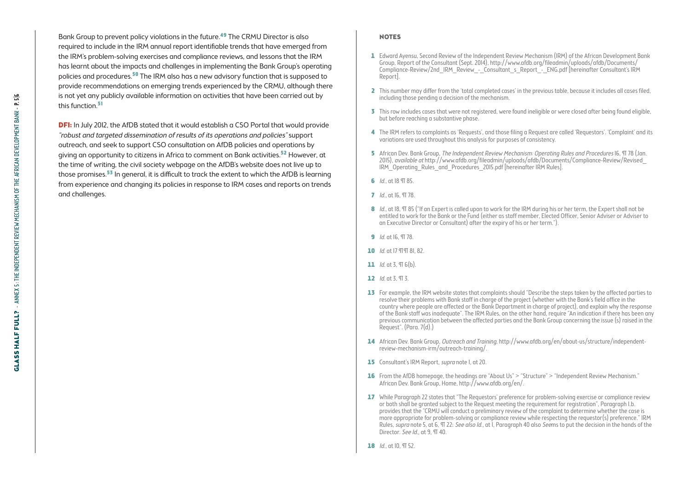Bank Group to prevent policy violations in the future.49 The CRMU Director is also required to include in the IRM annual report identifiable trends that have emerged from the IRM's problem-solving exercises and compliance reviews, and lessons that the IRM has learnt about the impacts and challenges in implementing the Bank Group's operating policies and procedures.50 The IRM also has a new advisory function that is supposed to provide recommendations on emerging trends experienced by the CRMU, although there is not yet any publicly available information on activities that have been carried out by this function.<sup>51</sup>

**DFI:** In July 2012, the AfDB stated that it would establish a CSO Portal that would provide "robust and targeted dissemination of results of its operations and policies" support outreach, and seek to support CSO consultation on AfDB policies and operations by giving an opportunity to citizens in Africa to comment on Bank activities.<sup>52</sup> However, at the time of writing, the civil society webpage on the AfDB's website does not live up to those promises.<sup>53</sup> In general, it is difficult to track the extent to which the AfDB is learning from experience and changing its policies in response to IRM cases and reports on trends and challenges.

#### **NOTES**

- 1 Edward Ayensu, Second Review of the Independent Review Mechanism (IRM) of the African Development Bank Group, Report of the Consultant (Sept. 2014), [http://www.afdb.org/fileadmin/uploads/afdb/Documents/](http://www.afdb.org/fileadmin/uploads/afdb/Documents/Compliance-Review/2nd_IRM_Review_-_Consultant_s_Report_-_ENG.pdf) [Compliance-Review/2nd\\_IRM\\_Review\\_-\\_Consultant\\_s\\_Report\\_-\\_ENG.pdf](http://www.afdb.org/fileadmin/uploads/afdb/Documents/Compliance-Review/2nd_IRM_Review_-_Consultant_s_Report_-_ENG.pdf) [hereinafter Consultant's IRM Report].
- 2 This number may differ from the 'total completed cases' in the previous table, because it includes all cases filed, including those pending a decision of the mechanism.
- 3 This row includes cases that were not registered, were found ineligible or were closed after being found eligible, but before reaching a substantive phase.
- 4 The IRM refers to complaints as 'Requests', and those filing a Request are called 'Requestors'. 'Complaint' and its variations are used throughout this analysis for purposes of consistency.
- 5 African Dev. Bank Group, The Independent Review Mechanism: Operating Rules and Procedures 16, TJ 78 (Jan. 2015), available at [http://www.afdb.org/fileadmin/uploads/afdb/Documents/Compliance-Review/Revised\\_](http://www.afdb.org/fileadmin/uploads/afdb/Documents/Compliance-Review/Revised_IRM_Operating_Rules_and_Procedures_2015.pdf) [IRM\\_Operating\\_Rules\\_and\\_Procedures\\_2015.pdf](http://www.afdb.org/fileadmin/uploads/afdb/Documents/Compliance-Review/Revised_IRM_Operating_Rules_and_Procedures_2015.pdf) [hereinafter IRM Rules].
- **6** *Id.*, at 18 TT 85.
- 7 *Id.*, at 16, 978.
- 8 Id., at 18, TT 85 ("If an Expert is called upon to work for the IRM during his or her term, the Expert shall not be entitled to work for the Bank or the Fund (either as staff member, Elected Officer, Senior Adviser or Adviser to an Executive Director or Consultant) after the expiry of his or her term.").
- 9 *Id.* at 16,  $\Pi$  78.
- 10 *Id.* at 17 9 9 82.
- 11  $Id.$  at 3,  $\Pi$  6(b).
- 12  $Id$  at 3.  $\Pi$  3.
- 13 For example, the IRM website states that complaints should "Describe the steps taken by the affected parties to resolve their problems with Bank staff in charge of the project (whether with the Bank's field office in the country where people are affected or the Bank Department in charge of project), and explain why the response of the Bank staff was inadequate". The IRM Rules, on the other hand, require "An indication if there has been any previous communication between the affected parties and the Bank Group concerning the issue (s) raised in the Request". (Para. 7(d).)
- 14 African Dev. Bank Group, Outreach and Training, [http://www.afdb.org/en/about-us/structure/independent](http://www.afdb.org/en/about-us/structure/independent-review-mechanism-irm/outreach-training/)[review-mechanism-irm/outreach-training/.](http://www.afdb.org/en/about-us/structure/independent-review-mechanism-irm/outreach-training/)
- 15 Consultant's IRM Report, *supra* note I, at 20.
- 16 From the AfDB homepage, the headings are "About Us" > "Structure" > "Independent Review Mechanism." African Dev. Bank Group, Home,<http://www.afdb.org/en/>.
- 17 While Paragraph 22 states that "The Requestors' preference for problem-solving exercise or compliance review or both shall be granted subject to the Request meeting the requirement for registration", Paragraph I.b. provides that the "CRMU will conduct a preliminary review of the complaint to determine whether the case is more appropriate for problem-solving or compliance review while respecting the requestor(s) preference." IRM Rules, *supra* note 5, at 6, TT 22; See also Id., at 1. Paragraph 40 also Seems to put the decision in the hands of the Director. See Id., at 9, TT 40.
- 18  $Id$ , at 10,  $\Pi$  52.